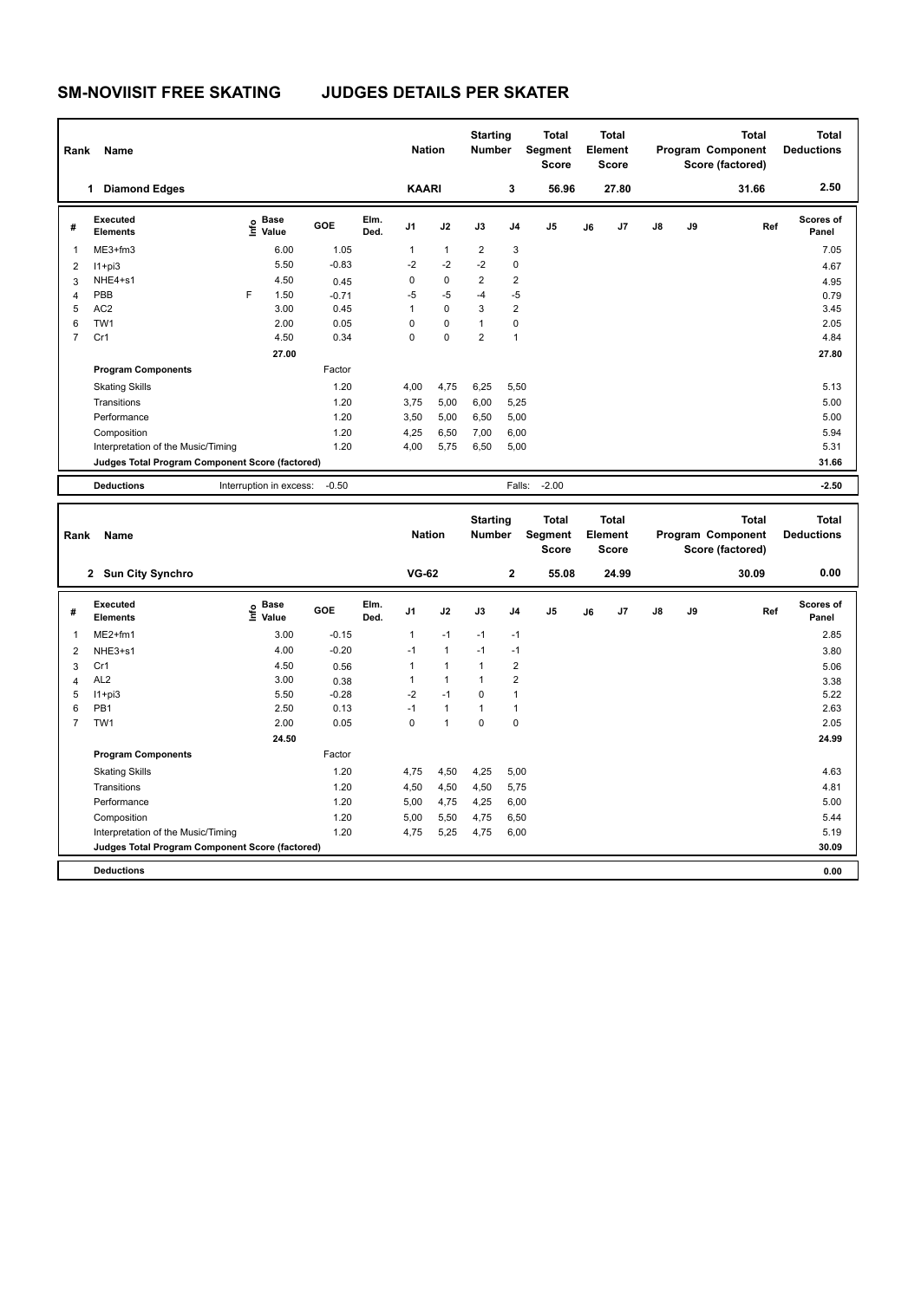## **SM-NOVIISIT FREE SKATING JUDGES DETAILS PER SKATER**

| Rank<br>Name   |                                                         |       |                                             |         |              |                | <b>Nation</b> |                | <b>Starting</b><br><b>Number</b> | <b>Total</b><br>Segment<br><b>Score</b> | Total<br>Element<br><b>Score</b> |                |               |    | Total<br>Program Component<br>Score (factored) | <b>Total</b><br><b>Deductions</b> |
|----------------|---------------------------------------------------------|-------|---------------------------------------------|---------|--------------|----------------|---------------|----------------|----------------------------------|-----------------------------------------|----------------------------------|----------------|---------------|----|------------------------------------------------|-----------------------------------|
|                | <b>Diamond Edges</b><br>1                               |       |                                             |         |              | <b>KAARI</b>   |               |                | 3                                | 56.96                                   |                                  | 27.80          |               |    | 31.66                                          | 2.50                              |
| #              | Executed<br><b>Elements</b>                             |       | <b>Base</b><br>e <sup>Base</sup><br>⊆ Value | GOE     | Elm.<br>Ded. | J <sub>1</sub> | J2            | J3             | J <sub>4</sub>                   | J <sub>5</sub>                          | J6                               | J <sub>7</sub> | $\mathsf{J}8$ | J9 | Ref                                            | <b>Scores of</b><br>Panel         |
| $\overline{1}$ | $ME3+fm3$                                               |       | 6.00                                        | 1.05    |              | 1              | $\mathbf{1}$  | $\overline{2}$ | 3                                |                                         |                                  |                |               |    |                                                | 7.05                              |
| $\overline{2}$ | $11+pi3$                                                |       | 5.50                                        | $-0.83$ |              | $-2$           | $-2$          | $-2$           | 0                                |                                         |                                  |                |               |    |                                                | 4.67                              |
| 3              | NHE4+s1                                                 |       | 4.50                                        | 0.45    |              | 0              | $\mathbf 0$   | $\overline{2}$ | $\overline{2}$                   |                                         |                                  |                |               |    |                                                | 4.95                              |
| $\overline{4}$ | PBB                                                     | E     | 1.50                                        | $-0.71$ |              | $-5$           | $-5$          | $-4$           | $-5$                             |                                         |                                  |                |               |    |                                                | 0.79                              |
| 5              | AC <sub>2</sub>                                         |       | 3.00                                        | 0.45    |              | $\mathbf{1}$   | $\Omega$      | 3              | $\overline{2}$                   |                                         |                                  |                |               |    |                                                | 3.45                              |
| 6              | TW <sub>1</sub>                                         |       | 2.00                                        | 0.05    |              | 0              | $\mathbf 0$   | 1              | $\mathbf 0$                      |                                         |                                  |                |               |    |                                                | 2.05                              |
| $\overline{7}$ | Cr1                                                     |       | 4.50                                        | 0.34    |              | 0              | $\mathbf 0$   | $\overline{2}$ | $\overline{1}$                   |                                         |                                  |                |               |    |                                                | 4.84                              |
|                |                                                         | 27.00 |                                             |         |              |                |               |                |                                  |                                         |                                  |                |               |    |                                                | 27.80                             |
|                | <b>Program Components</b>                               |       |                                             | Factor  |              |                |               |                |                                  |                                         |                                  |                |               |    |                                                |                                   |
|                | <b>Skating Skills</b>                                   |       |                                             | 1.20    |              | 4,00           | 4,75          | 6,25           | 5,50                             |                                         |                                  |                |               |    |                                                | 5.13                              |
|                | Transitions                                             |       |                                             | 1.20    |              | 3,75           | 5,00          | 6,00           | 5,25                             |                                         |                                  |                |               |    |                                                | 5.00                              |
|                | Performance                                             |       |                                             | 1.20    |              | 3,50           | 5,00          | 6,50           | 5,00                             |                                         |                                  |                |               |    |                                                | 5.00                              |
|                | Composition                                             |       |                                             | 1.20    |              | 4,25           | 6,50          | 7,00           | 6,00                             |                                         |                                  |                |               |    |                                                | 5.94                              |
|                | Interpretation of the Music/Timing                      |       |                                             | 1.20    |              | 4,00           | 5,75          | 6,50           | 5,00                             |                                         |                                  |                |               |    |                                                | 5.31                              |
|                | Judges Total Program Component Score (factored)         |       |                                             |         |              |                |               |                |                                  |                                         |                                  | 31.66          |               |    |                                                |                                   |
|                | $-0.50$<br><b>Deductions</b><br>Interruption in excess: |       |                                             |         |              |                |               |                | Falls:                           | $-2.00$                                 |                                  |                |               |    |                                                | $-2.50$                           |

| Rank           | <b>Name</b>                                     |                              |         |              | <b>Nation</b>  |              | <b>Starting</b><br><b>Number</b> |                | <b>Total</b><br>Segment<br>Score |    | <b>Total</b><br>Element<br><b>Score</b> |               |    | <b>Total</b><br>Program Component<br>Score (factored) | <b>Total</b><br><b>Deductions</b> |
|----------------|-------------------------------------------------|------------------------------|---------|--------------|----------------|--------------|----------------------------------|----------------|----------------------------------|----|-----------------------------------------|---------------|----|-------------------------------------------------------|-----------------------------------|
|                | <b>Sun City Synchro</b><br>$\mathbf{2}$         |                              |         |              | <b>VG-62</b>   |              |                                  | $\mathbf{2}$   | 55.08                            |    | 24.99                                   |               |    | 30.09                                                 | 0.00                              |
| #              | Executed<br><b>Elements</b>                     | <b>Base</b><br>١nf٥<br>Value | GOE     | Elm.<br>Ded. | J <sub>1</sub> | J2           | J3                               | J <sub>4</sub> | J <sub>5</sub>                   | J6 | J7                                      | $\mathsf{J}8$ | J9 | Ref                                                   | <b>Scores of</b><br>Panel         |
|                | $ME2+fm1$                                       | 3.00                         | $-0.15$ |              | 1              | $-1$         | $-1$                             | $-1$           |                                  |    |                                         |               |    |                                                       | 2.85                              |
| 2              | NHE3+s1                                         | 4.00                         | $-0.20$ |              | $-1$           | $\mathbf{1}$ | $-1$                             | $-1$           |                                  |    |                                         |               |    |                                                       | 3.80                              |
| 3              | Cr1                                             | 4.50                         | 0.56    |              |                | $\mathbf{1}$ | $\mathbf{1}$                     | $\overline{2}$ |                                  |    |                                         |               |    |                                                       | 5.06                              |
| 4              | AL <sub>2</sub>                                 | 3.00                         | 0.38    |              | 1              | $\mathbf{1}$ | 1                                | $\overline{2}$ |                                  |    |                                         |               |    |                                                       | 3.38                              |
| 5              | $11 + pi3$                                      | 5.50                         | $-0.28$ |              | $-2$           | $-1$         | $\Omega$                         | $\overline{1}$ |                                  |    |                                         |               |    |                                                       | 5.22                              |
| 6              | PB <sub>1</sub>                                 | 2.50                         | 0.13    |              | $-1$           | $\mathbf{1}$ | 1                                | $\mathbf{1}$   |                                  |    |                                         |               |    |                                                       | 2.63                              |
| $\overline{7}$ | TW1                                             | 2.00                         | 0.05    |              | 0              | $\mathbf{1}$ | $\mathbf 0$                      | $\mathbf 0$    |                                  |    |                                         |               |    |                                                       | 2.05                              |
|                |                                                 | 24.50                        |         |              |                |              |                                  |                |                                  |    |                                         |               |    |                                                       | 24.99                             |
|                | <b>Program Components</b>                       |                              | Factor  |              |                |              |                                  |                |                                  |    |                                         |               |    |                                                       |                                   |
|                | <b>Skating Skills</b>                           |                              | 1.20    |              | 4,75           | 4,50         | 4,25                             | 5,00           |                                  |    |                                         |               |    |                                                       | 4.63                              |
|                | Transitions                                     |                              | 1.20    |              | 4,50           | 4,50         | 4,50                             | 5,75           |                                  |    |                                         |               |    |                                                       | 4.81                              |
|                | Performance                                     |                              | 1.20    |              | 5,00           | 4,75         | 4,25                             | 6,00           |                                  |    |                                         |               |    |                                                       | 5.00                              |
|                | Composition                                     |                              | 1.20    |              | 5,00           | 5,50         | 4,75                             | 6,50           |                                  |    |                                         |               |    |                                                       | 5.44                              |
|                | Interpretation of the Music/Timing              |                              | 1.20    |              | 4.75           | 5,25         | 4,75                             | 6.00           |                                  |    |                                         |               |    |                                                       | 5.19                              |
|                | Judges Total Program Component Score (factored) |                              |         |              |                |              |                                  |                |                                  |    |                                         |               |    |                                                       | 30.09                             |
|                | <b>Deductions</b>                               |                              |         |              |                |              |                                  |                |                                  |    |                                         |               |    |                                                       | 0.00                              |